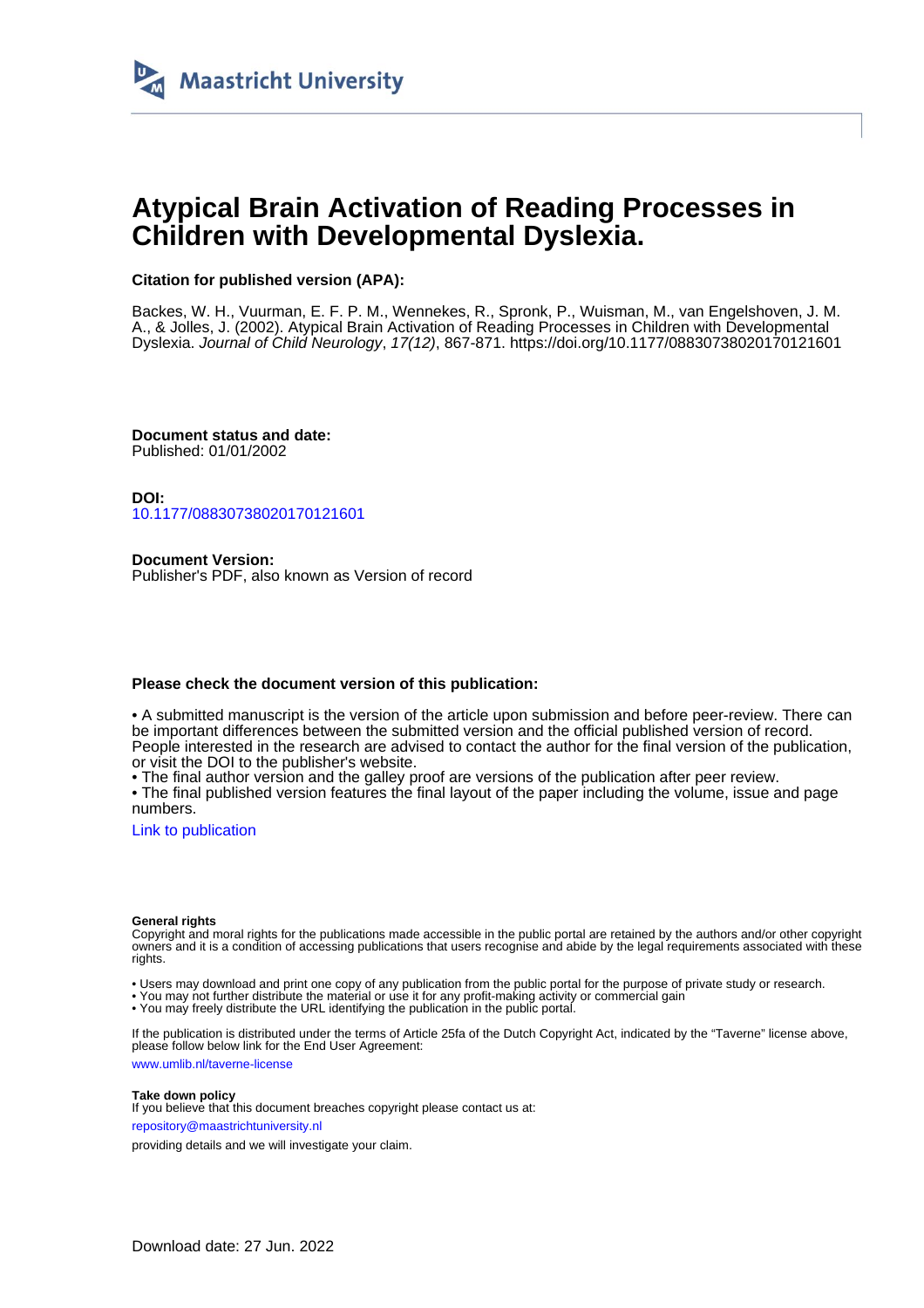

# **Atypical Brain Activation of Reading Processes in Children with Developmental Dyslexia.**

## **Citation for published version (APA):**

Backes, W. H., Vuurman, E. F. P. M., Wennekes, R., Spronk, P., Wuisman, M., van Engelshoven, J. M. A., & Jolles, J. (2002). Atypical Brain Activation of Reading Processes in Children with Developmental Dyslexia. Journal of Child Neurology, 17(12), 867-871.<https://doi.org/10.1177/08830738020170121601>

**Document status and date:** Published: 01/01/2002

**DOI:** [10.1177/08830738020170121601](https://doi.org/10.1177/08830738020170121601)

**Document Version:** Publisher's PDF, also known as Version of record

#### **Please check the document version of this publication:**

• A submitted manuscript is the version of the article upon submission and before peer-review. There can be important differences between the submitted version and the official published version of record. People interested in the research are advised to contact the author for the final version of the publication, or visit the DOI to the publisher's website.

• The final author version and the galley proof are versions of the publication after peer review.

• The final published version features the final layout of the paper including the volume, issue and page numbers.

[Link to publication](https://cris.maastrichtuniversity.nl/en/publications/548ddae0-343d-4838-ab83-2f944b766b11)

#### **General rights**

Copyright and moral rights for the publications made accessible in the public portal are retained by the authors and/or other copyright owners and it is a condition of accessing publications that users recognise and abide by the legal requirements associated with these rights.

• Users may download and print one copy of any publication from the public portal for the purpose of private study or research.

• You may not further distribute the material or use it for any profit-making activity or commercial gain

• You may freely distribute the URL identifying the publication in the public portal.

If the publication is distributed under the terms of Article 25fa of the Dutch Copyright Act, indicated by the "Taverne" license above, please follow below link for the End User Agreement:

www.umlib.nl/taverne-license

#### **Take down policy**

If you believe that this document breaches copyright please contact us at: repository@maastrichtuniversity.nl

providing details and we will investigate your claim.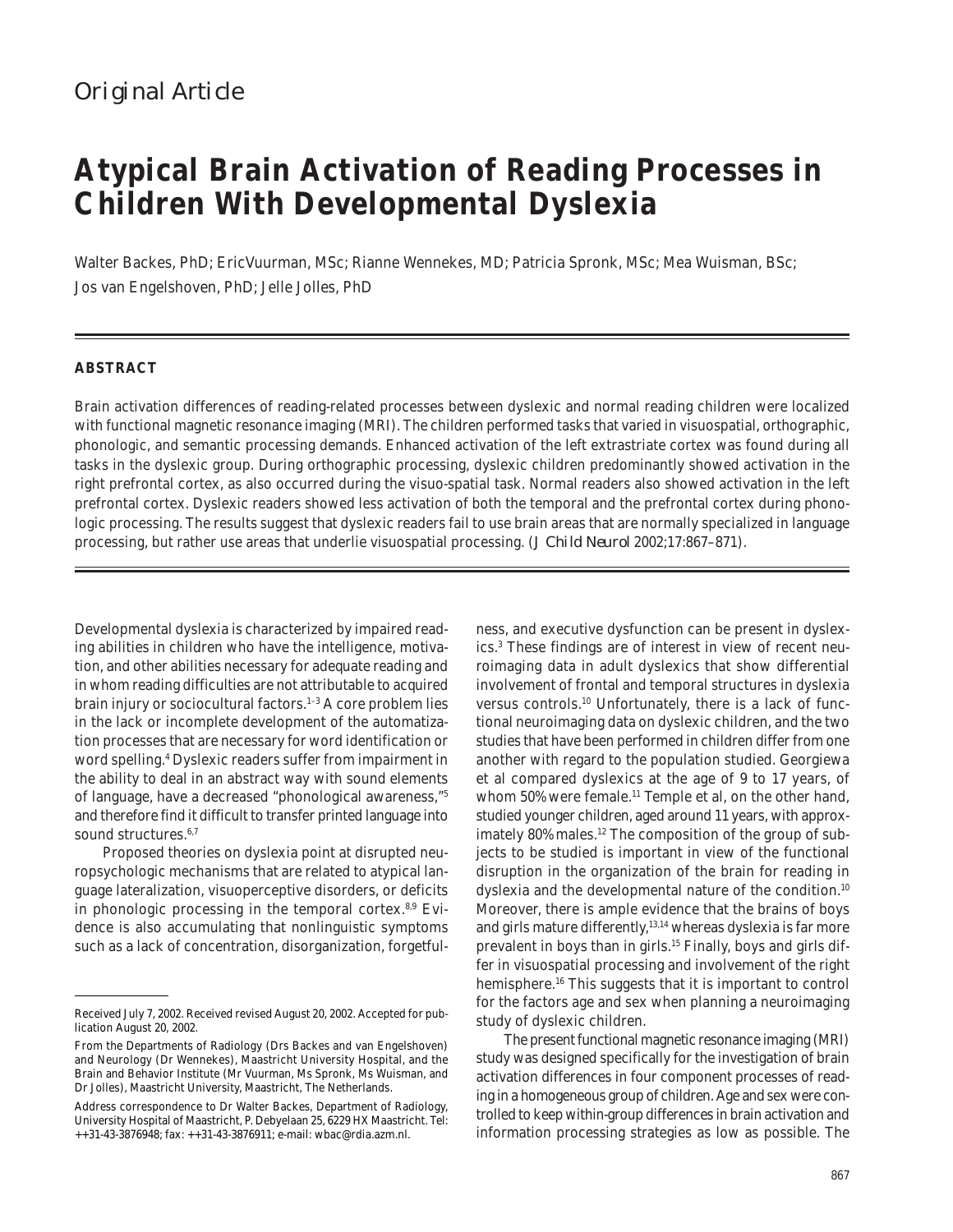# **Atypical Brain Activation of Reading Processes in Children With Developmental Dyslexia**

Walter Backes, PhD; EricVuurman, MSc; Rianne Wennekes, MD; Patricia Spronk, MSc; Mea Wuisman, BSc; Jos van Engelshoven, PhD; Jelle Jolles, PhD

### **ABSTRACT**

Brain activation differences of reading-related processes between dyslexic and normal reading children were localized with functional magnetic resonance imaging (MRI). The children performed tasks that varied in visuospatial, orthographic, phonologic, and semantic processing demands. Enhanced activation of the left extrastriate cortex was found during all tasks in the dyslexic group. During orthographic processing, dyslexic children predominantly showed activation in the right prefrontal cortex, as also occurred during the visuo-spatial task. Normal readers also showed activation in the left prefrontal cortex. Dyslexic readers showed less activation of both the temporal and the prefrontal cortex during phonologic processing. The results suggest that dyslexic readers fail to use brain areas that are normally specialized in language processing, but rather use areas that underlie visuospatial processing. (*J Child Neurol* 2002;17:867–871).

Developmental dyslexia is characterized by impaired reading abilities in children who have the intelligence, motivation, and other abilities necessary for adequate reading and in whom reading difficulties are not attributable to acquired brain injury or sociocultural factors.<sup>1-3</sup> A core problem lies in the lack or incomplete development of the automatization processes that are necessary for word identification or word spelling.4 Dyslexic readers suffer from impairment in the ability to deal in an abstract way with sound elements of language, have a decreased "phonological awareness,"5 and therefore find it difficult to transfer printed language into sound structures.<sup>6,7</sup>

Proposed theories on dyslexia point at disrupted neuropsychologic mechanisms that are related to atypical language lateralization, visuoperceptive disorders, or deficits in phonologic processing in the temporal cortex.8,9 Evidence is also accumulating that nonlinguistic symptoms such as a lack of concentration, disorganization, forgetful-

ness, and executive dysfunction can be present in dyslexics.3 These findings are of interest in view of recent neuroimaging data in adult dyslexics that show differential involvement of frontal and temporal structures in dyslexia versus controls.10 Unfortunately, there is a lack of functional neuroimaging data on dyslexic children, and the two studies that have been performed in children differ from one another with regard to the population studied. Georgiewa et al compared dyslexics at the age of 9 to 17 years, of whom 50% were female.<sup>11</sup> Temple et al, on the other hand, studied younger children, aged around 11 years, with approximately 80% males.<sup>12</sup> The composition of the group of subjects to be studied is important in view of the functional disruption in the organization of the brain for reading in dyslexia and the developmental nature of the condition.<sup>10</sup> Moreover, there is ample evidence that the brains of boys and girls mature differently,<sup>13,14</sup> whereas dyslexia is far more prevalent in boys than in girls.15 Finally, boys and girls differ in visuospatial processing and involvement of the right hemisphere.16 This suggests that it is important to control for the factors age and sex when planning a neuroimaging study of dyslexic children.

The present functional magnetic resonance imaging (MRI) study was designed specifically for the investigation of brain activation differences in four component processes of reading in a homogeneous group of children. Age and sex were controlled to keep within-group differences in brain activation and information processing strategies as low as possible. The

Received July 7, 2002. Received revised August 20, 2002. Accepted for publication August 20, 2002.

From the Departments of Radiology (Drs Backes and van Engelshoven) and Neurology (Dr Wennekes), Maastricht University Hospital, and the Brain and Behavior Institute (Mr Vuurman, Ms Spronk, Ms Wuisman, and Dr Jolles), Maastricht University, Maastricht, The Netherlands.

Address correspondence to Dr Walter Backes, Department of Radiology, University Hospital of Maastricht, P. Debyelaan 25, 6229 HX Maastricht. Tel: ++31-43-3876948; fax: ++31-43-3876911; e-mail: wbac@rdia.azm.nl.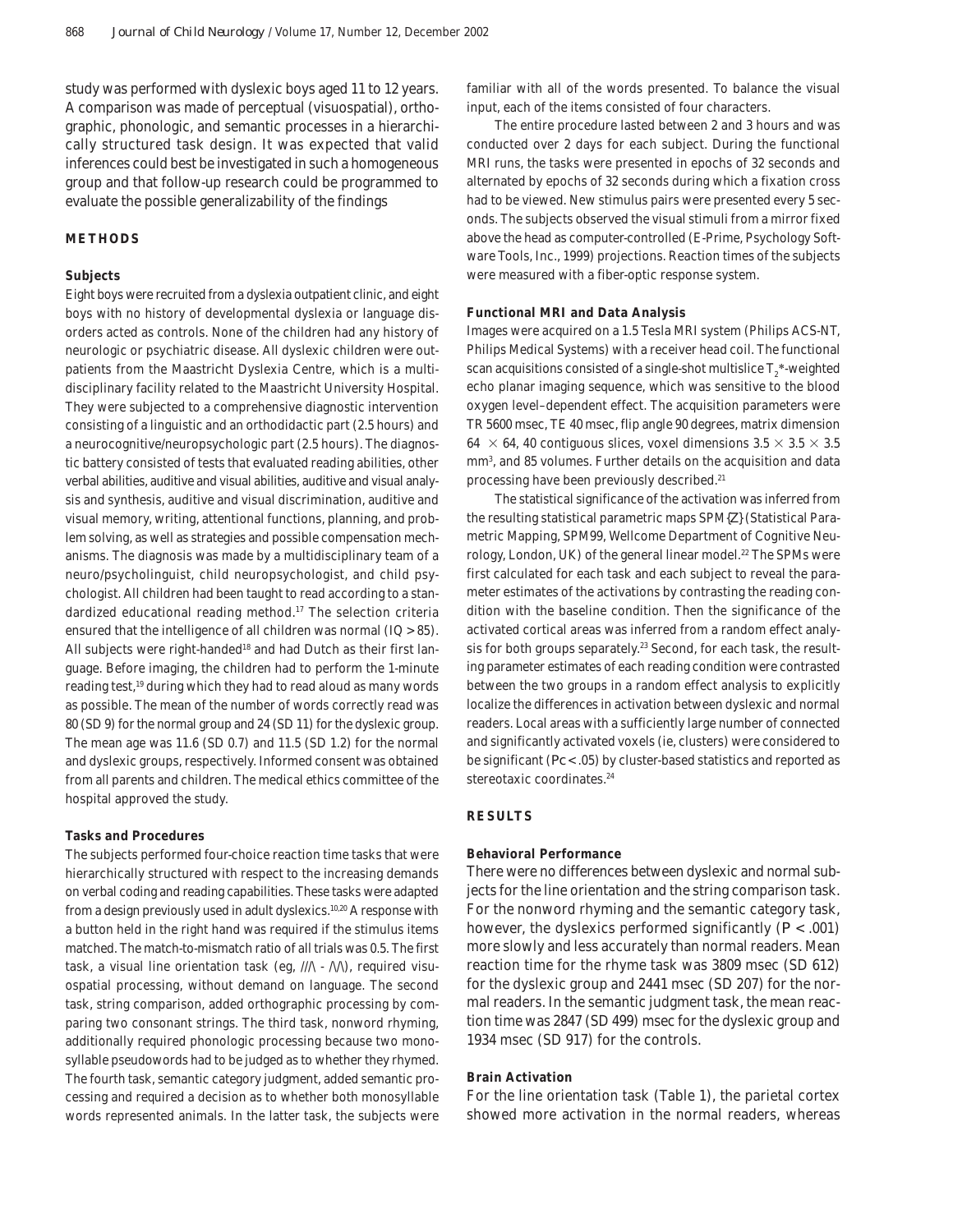study was performed with dyslexic boys aged 11 to 12 years. A comparison was made of perceptual (visuospatial), orthographic, phonologic, and semantic processes in a hierarchically structured task design. It was expected that valid inferences could best be investigated in such a homogeneous group and that follow-up research could be programmed to evaluate the possible generalizability of the findings

#### **METHODS**

#### **Subjects**

Eight boys were recruited from a dyslexia outpatient clinic, and eight boys with no history of developmental dyslexia or language disorders acted as controls. None of the children had any history of neurologic or psychiatric disease. All dyslexic children were outpatients from the Maastricht Dyslexia Centre, which is a multidisciplinary facility related to the Maastricht University Hospital. They were subjected to a comprehensive diagnostic intervention consisting of a linguistic and an orthodidactic part (2.5 hours) and a neurocognitive/neuropsychologic part (2.5 hours). The diagnostic battery consisted of tests that evaluated reading abilities, other verbal abilities, auditive and visual abilities, auditive and visual analysis and synthesis, auditive and visual discrimination, auditive and visual memory, writing, attentional functions, planning, and problem solving, as well as strategies and possible compensation mechanisms. The diagnosis was made by a multidisciplinary team of a neuro/psycholinguist, child neuropsychologist, and child psychologist. All children had been taught to read according to a standardized educational reading method.17 The selection criteria ensured that the intelligence of all children was normal (IQ > 85). All subjects were right-handed<sup>18</sup> and had Dutch as their first language. Before imaging, the children had to perform the 1-minute reading test,19 during which they had to read aloud as many words as possible. The mean of the number of words correctly read was 80 (SD 9) for the normal group and 24 (SD 11) for the dyslexic group. The mean age was 11.6 (SD 0.7) and 11.5 (SD 1.2) for the normal and dyslexic groups, respectively. Informed consent was obtained from all parents and children. The medical ethics committee of the hospital approved the study.

#### **Tasks and Procedures**

The subjects performed four-choice reaction time tasks that were hierarchically structured with respect to the increasing demands on verbal coding and reading capabilities. These tasks were adapted from a design previously used in adult dyslexics.10,20 A response with a button held in the right hand was required if the stimulus items matched. The match-to-mismatch ratio of all trials was 0.5. The first task, a visual line orientation task (eg,  $//\wedge$  -  $\wedge\wedge$ ), required visuospatial processing, without demand on language. The second task, string comparison, added orthographic processing by comparing two consonant strings. The third task, nonword rhyming, additionally required phonologic processing because two monosyllable pseudowords had to be judged as to whether they rhymed. The fourth task, semantic category judgment, added semantic processing and required a decision as to whether both monosyllable words represented animals. In the latter task, the subjects were

familiar with all of the words presented. To balance the visual input, each of the items consisted of four characters.

The entire procedure lasted between 2 and 3 hours and was conducted over 2 days for each subject. During the functional MRI runs, the tasks were presented in epochs of 32 seconds and alternated by epochs of 32 seconds during which a fixation cross had to be viewed. New stimulus pairs were presented every 5 seconds. The subjects observed the visual stimuli from a mirror fixed above the head as computer-controlled (E-Prime, Psychology Software Tools, Inc., 1999) projections. Reaction times of the subjects were measured with a fiber-optic response system.

#### **Functional MRI and Data Analysis**

Images were acquired on a 1.5 Tesla MRI system (Philips ACS-NT, Philips Medical Systems) with a receiver head coil. The functional scan acquisitions consisted of a single-shot multislice  $\mathrm{T}_\mathrm{2}^*$ -weighted echo planar imaging sequence, which was sensitive to the blood oxygen level–dependent effect. The acquisition parameters were TR 5600 msec, TE 40 msec, flip angle 90 degrees, matrix dimension 64  $\times$  64, 40 contiguous slices, voxel dimensions 3.5  $\times$  3.5  $\times$  3.5 mm3 , and 85 volumes. Further details on the acquisition and data processing have been previously described.<sup>21</sup>

The statistical significance of the activation was inferred from the resulting statistical parametric maps SPM{*Z*} (Statistical Parametric Mapping, SPM99, Wellcome Department of Cognitive Neurology, London, UK) of the general linear model.<sup>22</sup> The SPMs were first calculated for each task and each subject to reveal the parameter estimates of the activations by contrasting the reading condition with the baseline condition. Then the significance of the activated cortical areas was inferred from a random effect analysis for both groups separately.<sup>23</sup> Second, for each task, the resulting parameter estimates of each reading condition were contrasted between the two groups in a random effect analysis to explicitly localize the differences in activation between dyslexic and normal readers. Local areas with a sufficiently large number of connected and significantly activated voxels (ie, clusters) were considered to be significant (*Pc* < .05) by cluster-based statistics and reported as stereotaxic coordinates.<sup>24</sup>

#### **RESULTS**

#### **Behavioral Performance**

There were no differences between dyslexic and normal subjects for the line orientation and the string comparison task. For the nonword rhyming and the semantic category task, however, the dyslexics performed significantly (*P* < .001) more slowly and less accurately than normal readers. Mean reaction time for the rhyme task was 3809 msec (SD 612) for the dyslexic group and 2441 msec (SD 207) for the normal readers. In the semantic judgment task, the mean reaction time was 2847 (SD 499) msec for the dyslexic group and 1934 msec (SD 917) for the controls.

#### **Brain Activation**

For the line orientation task (Table 1), the parietal cortex showed more activation in the normal readers, whereas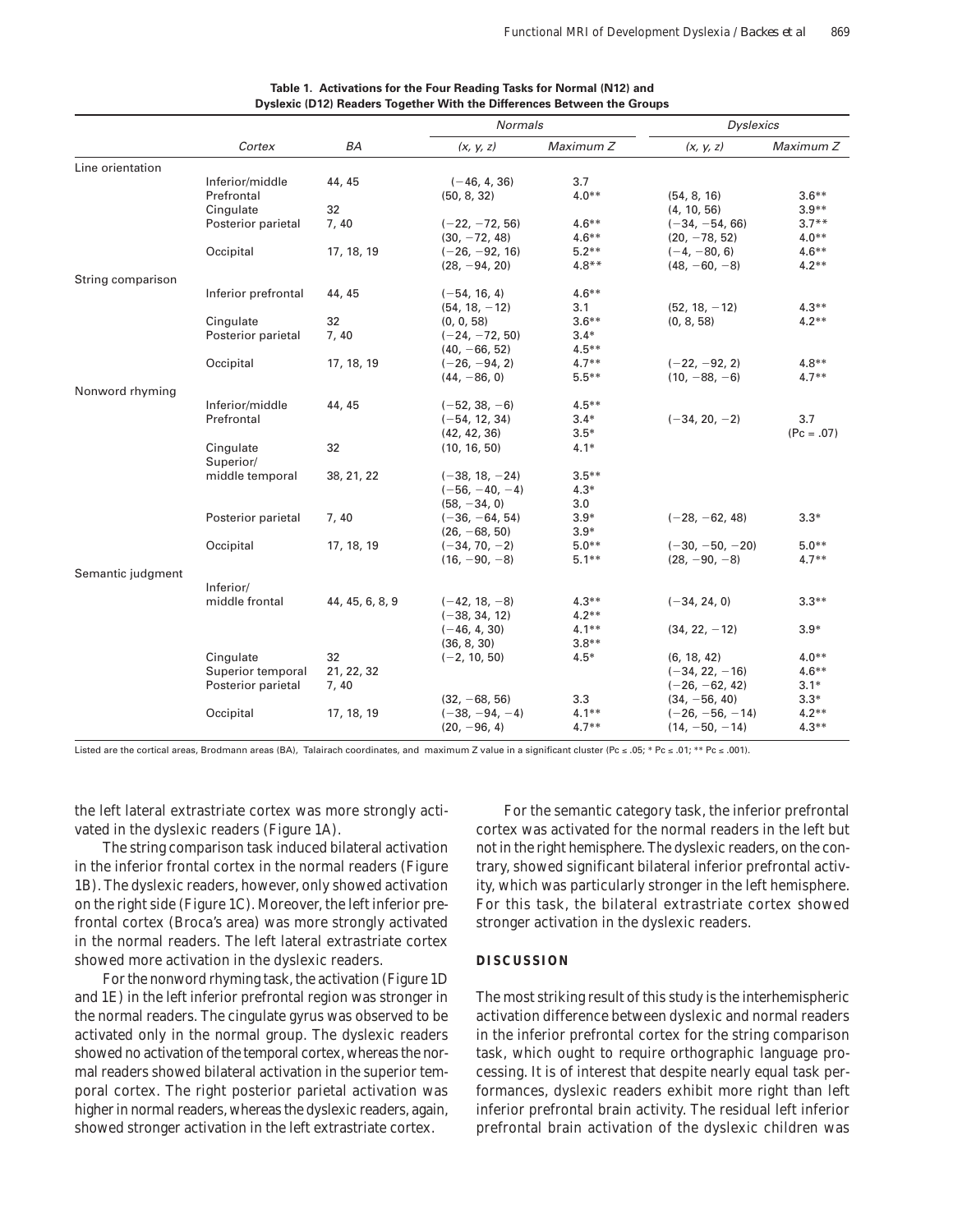|                   |                        |                 | <b>Normals</b>   |           | <b>Dyslexics</b>  |            |
|-------------------|------------------------|-----------------|------------------|-----------|-------------------|------------|
|                   | Cortex                 | <b>BA</b>       | (x, y, z)        | Maximum Z | (x, y, z)         | Maximum Z  |
| Line orientation  |                        |                 |                  |           |                   |            |
|                   | Inferior/middle        | 44, 45          | $(-46, 4, 36)$   | 3.7       |                   |            |
|                   | Prefrontal             |                 | (50, 8, 32)      | $4.0**$   | (54, 8, 16)       | $3.6**$    |
|                   | Cingulate              | 32              |                  |           | (4, 10, 56)       | $3.9**$    |
|                   | Posterior parietal     | 7,40            | $(-22, -72, 56)$ | $4.6**$   | $(-34, -54, 66)$  | $3.7**$    |
|                   |                        |                 | $(30, -72, 48)$  | $4.6***$  | $(20, -78, 52)$   | $4.0**$    |
|                   | Occipital              | 17, 18, 19      | $(-26, -92, 16)$ | $5.2**$   | $(-4, -80, 6)$    | $4.6***$   |
|                   |                        |                 | $(28, -94, 20)$  | $4.8**$   | $(48, -60, -8)$   | $4.2**$    |
| String comparison |                        |                 |                  |           |                   |            |
|                   | Inferior prefrontal    | 44, 45          | $(-54, 16, 4)$   | $4.6**$   |                   |            |
|                   |                        |                 | $(54, 18, -12)$  | 3.1       | $(52, 18, -12)$   | $4.3**$    |
|                   | Cingulate              | 32              | (0, 0, 58)       | $3.6**$   | (0, 8, 58)        | $4.2**$    |
|                   | Posterior parietal     | 7,40            | $(-24, -72, 50)$ | $3.4*$    |                   |            |
|                   |                        |                 | $(40, -66, 52)$  | $4.5**$   |                   |            |
|                   | Occipital              | 17, 18, 19      | $(-26, -94, 2)$  | $4.7**$   | $(-22, -92, 2)$   | $4.8**$    |
|                   |                        |                 | $(44, -86, 0)$   | $5.5***$  | $(10, -88, -6)$   | $4.7**$    |
| Nonword rhyming   |                        |                 |                  |           |                   |            |
|                   | Inferior/middle        | 44, 45          | $(-52, 38, -6)$  | $4.5***$  |                   |            |
|                   | Prefrontal             |                 | $(-54, 12, 34)$  | $3.4*$    | $(-34, 20, -2)$   | 3.7        |
|                   |                        |                 | (42, 42, 36)     | $3.5*$    |                   | $(PC=.07)$ |
|                   | Cingulate<br>Superior/ | 32              | (10, 16, 50)     | $4.1*$    |                   |            |
|                   | middle temporal        | 38, 21, 22      | $(-38, 18, -24)$ | $3.5**$   |                   |            |
|                   |                        |                 | $(-56, -40, -4)$ | $4.3*$    |                   |            |
|                   |                        |                 | $(58, -34, 0)$   | 3.0       |                   |            |
|                   | Posterior parietal     | 7,40            | $(-36, -64, 54)$ | $3.9*$    | $(-28, -62, 48)$  | $3.3*$     |
|                   |                        |                 | $(26, -68, 50)$  | $3.9*$    |                   |            |
|                   | Occipital              | 17, 18, 19      | $(-34, 70, -2)$  | $5.0**$   | $(-30, -50, -20)$ | $5.0**$    |
|                   |                        |                 | $(16, -90, -8)$  | $5.1**$   | $(28, -90, -8)$   | $4.7**$    |
| Semantic judgment |                        |                 |                  |           |                   |            |
|                   | Inferior/              |                 |                  |           |                   |            |
|                   | middle frontal         | 44, 45, 6, 8, 9 | $(-42, 18, -8)$  | $4.3**$   | $(-34, 24, 0)$    | $3.3**$    |
|                   |                        |                 | $(-38, 34, 12)$  | $4.2**$   |                   |            |
|                   |                        |                 | $(-46, 4, 30)$   | $4.1**$   | $(34, 22, -12)$   | $3.9*$     |
|                   |                        |                 | (36, 8, 30)      | $3.8**$   |                   |            |
|                   | Cingulate              | 32              | $(-2, 10, 50)$   | $4.5*$    | (6, 18, 42)       | $4.0**$    |
|                   | Superior temporal      | 21, 22, 32      |                  |           | $(-34, 22, -16)$  | $4.6***$   |
|                   | Posterior parietal     | 7,40            |                  |           | $(-26, -62, 42)$  | $3.1*$     |
|                   |                        |                 | $(32, -68, 56)$  | 3.3       | $(34, -56, 40)$   | $3.3*$     |
|                   | Occipital              | 17, 18, 19      | $(-38, -94, -4)$ | $4.1**$   | $(-26, -56, -14)$ | $4.2**$    |
|                   |                        |                 | $(20, -96, 4)$   | $4.7**$   | $(14, -50, -14)$  | $4.3**$    |
|                   |                        |                 |                  |           |                   |            |

#### **Table 1. Activations for the Four Reading Tasks for Normal (N12) and Dyslexic (D12) Readers Together With the Differences Between the Groups**

Listed are the cortical areas, Brodmann areas (BA), Talairach coordinates, and maximum Z value in a significant cluster (Pc ≤ .05; \* Pc ≤ .01; \*\* Pc ≤ .001).

the left lateral extrastriate cortex was more strongly activated in the dyslexic readers (Figure 1A).

The string comparison task induced bilateral activation in the inferior frontal cortex in the normal readers (Figure 1B). The dyslexic readers, however, only showed activation on the right side (Figure 1C). Moreover, the left inferior prefrontal cortex (Broca's area) was more strongly activated in the normal readers. The left lateral extrastriate cortex showed more activation in the dyslexic readers.

For the nonword rhyming task, the activation (Figure 1D and 1E) in the left inferior prefrontal region was stronger in the normal readers. The cingulate gyrus was observed to be activated only in the normal group. The dyslexic readers showed no activation of the temporal cortex, whereas the normal readers showed bilateral activation in the superior temporal cortex. The right posterior parietal activation was higher in normal readers, whereas the dyslexic readers, again, showed stronger activation in the left extrastriate cortex.

For the semantic category task, the inferior prefrontal cortex was activated for the normal readers in the left but not in the right hemisphere. The dyslexic readers, on the contrary, showed significant bilateral inferior prefrontal activity, which was particularly stronger in the left hemisphere. For this task, the bilateral extrastriate cortex showed stronger activation in the dyslexic readers.

#### **DISCUSSION**

The most striking result of this study is the interhemispheric activation difference between dyslexic and normal readers in the inferior prefrontal cortex for the string comparison task, which ought to require orthographic language processing. It is of interest that despite nearly equal task performances, dyslexic readers exhibit more right than left inferior prefrontal brain activity. The residual left inferior prefrontal brain activation of the dyslexic children was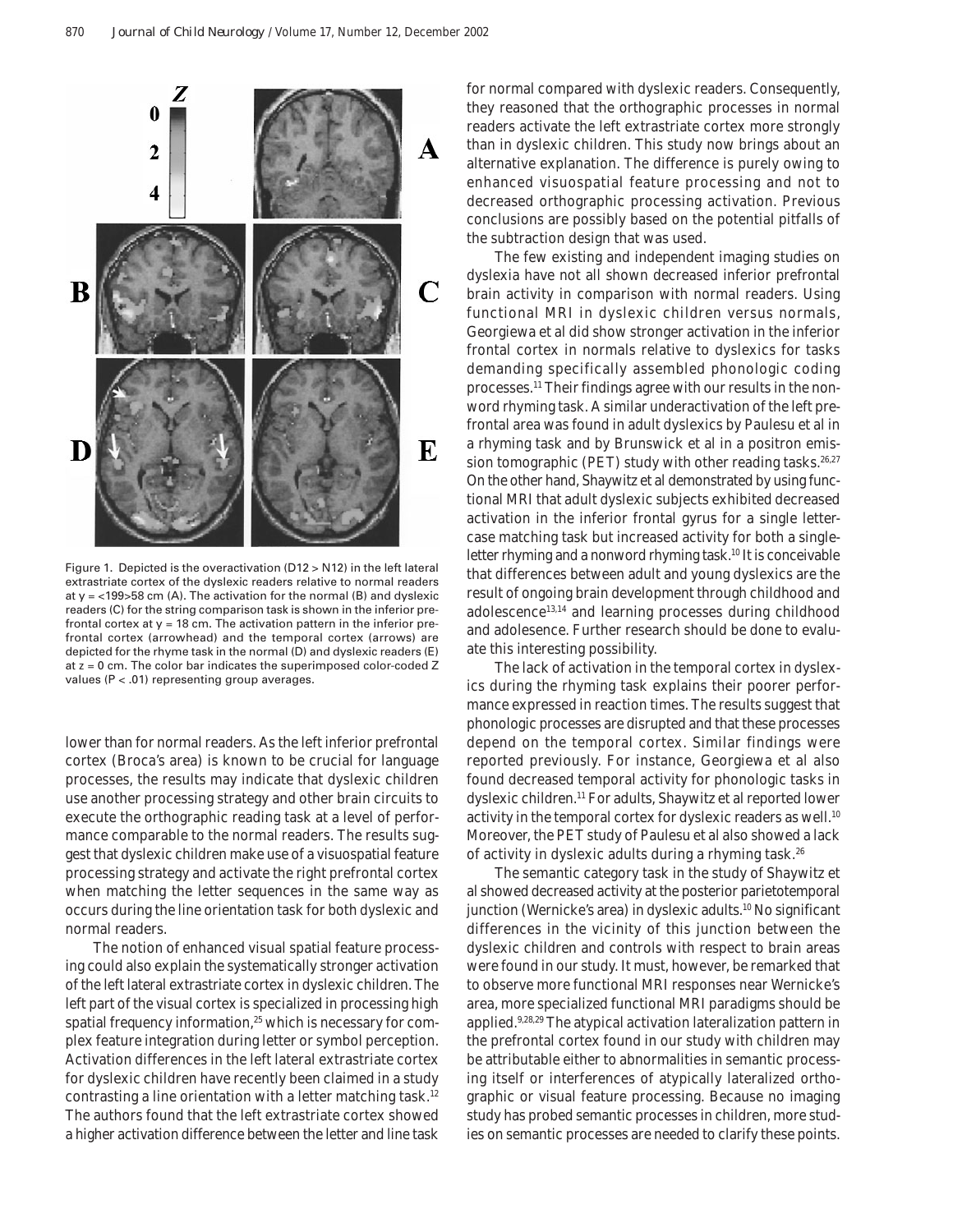

Figure 1. Depicted is the overactivation (D12 > N12) in the left lateral extrastriate cortex of the dyslexic readers relative to normal readers at  $y = <199>58$  cm (A). The activation for the normal (B) and dyslexic readers (C) for the string comparison task is shown in the inferior prefrontal cortex at  $y = 18$  cm. The activation pattern in the inferior prefrontal cortex (arrowhead) and the temporal cortex (arrows) are depicted for the rhyme task in the normal (D) and dyslexic readers (E) at  $z = 0$  cm. The color bar indicates the superimposed color-coded  $\overline{z}$ values (P < .01) representing group averages.

lower than for normal readers. As the left inferior prefrontal cortex (Broca's area) is known to be crucial for language processes, the results may indicate that dyslexic children use another processing strategy and other brain circuits to execute the orthographic reading task at a level of performance comparable to the normal readers. The results suggest that dyslexic children make use of a visuospatial feature processing strategy and activate the right prefrontal cortex when matching the letter sequences in the same way as occurs during the line orientation task for both dyslexic and normal readers.

The notion of enhanced visual spatial feature processing could also explain the systematically stronger activation of the left lateral extrastriate cortex in dyslexic children. The left part of the visual cortex is specialized in processing high spatial frequency information,<sup>25</sup> which is necessary for complex feature integration during letter or symbol perception. Activation differences in the left lateral extrastriate cortex for dyslexic children have recently been claimed in a study contrasting a line orientation with a letter matching task.12 The authors found that the left extrastriate cortex showed a higher activation difference between the letter and line task for normal compared with dyslexic readers. Consequently, they reasoned that the orthographic processes in normal readers activate the left extrastriate cortex more strongly than in dyslexic children. This study now brings about an alternative explanation. The difference is purely owing to enhanced visuospatial feature processing and not to decreased orthographic processing activation. Previous conclusions are possibly based on the potential pitfalls of the subtraction design that was used.

The few existing and independent imaging studies on dyslexia have not all shown decreased inferior prefrontal brain activity in comparison with normal readers. Using functional MRI in dyslexic children versus normals, Georgiewa et al did show stronger activation in the inferior frontal cortex in normals relative to dyslexics for tasks demanding specifically assembled phonologic coding processes.11 Their findings agree with our results in the nonword rhyming task. A similar underactivation of the left prefrontal area was found in adult dyslexics by Paulesu et al in a rhyming task and by Brunswick et al in a positron emission tomographic (PET) study with other reading tasks.<sup>26,27</sup> On the other hand, Shaywitz et al demonstrated by using functional MRI that adult dyslexic subjects exhibited decreased activation in the inferior frontal gyrus for a single lettercase matching task but increased activity for both a singleletter rhyming and a nonword rhyming task.<sup>10</sup> It is conceivable that differences between adult and young dyslexics are the result of ongoing brain development through childhood and adolescence13,14 and learning processes during childhood and adolesence. Further research should be done to evaluate this interesting possibility.

The lack of activation in the temporal cortex in dyslexics during the rhyming task explains their poorer performance expressed in reaction times. The results suggest that phonologic processes are disrupted and that these processes depend on the temporal cortex. Similar findings were reported previously. For instance, Georgiewa et al also found decreased temporal activity for phonologic tasks in dyslexic children.11 For adults, Shaywitz et al reported lower activity in the temporal cortex for dyslexic readers as well.<sup>10</sup> Moreover, the PET study of Paulesu et al also showed a lack of activity in dyslexic adults during a rhyming task.<sup>26</sup>

The semantic category task in the study of Shaywitz et al showed decreased activity at the posterior parietotemporal junction (Wernicke's area) in dyslexic adults.10 No significant differences in the vicinity of this junction between the dyslexic children and controls with respect to brain areas were found in our study. It must, however, be remarked that to observe more functional MRI responses near Wernicke's area, more specialized functional MRI paradigms should be applied.9,28,29 The atypical activation lateralization pattern in the prefrontal cortex found in our study with children may be attributable either to abnormalities in semantic processing itself or interferences of atypically lateralized orthographic or visual feature processing. Because no imaging study has probed semantic processes in children, more studies on semantic processes are needed to clarify these points.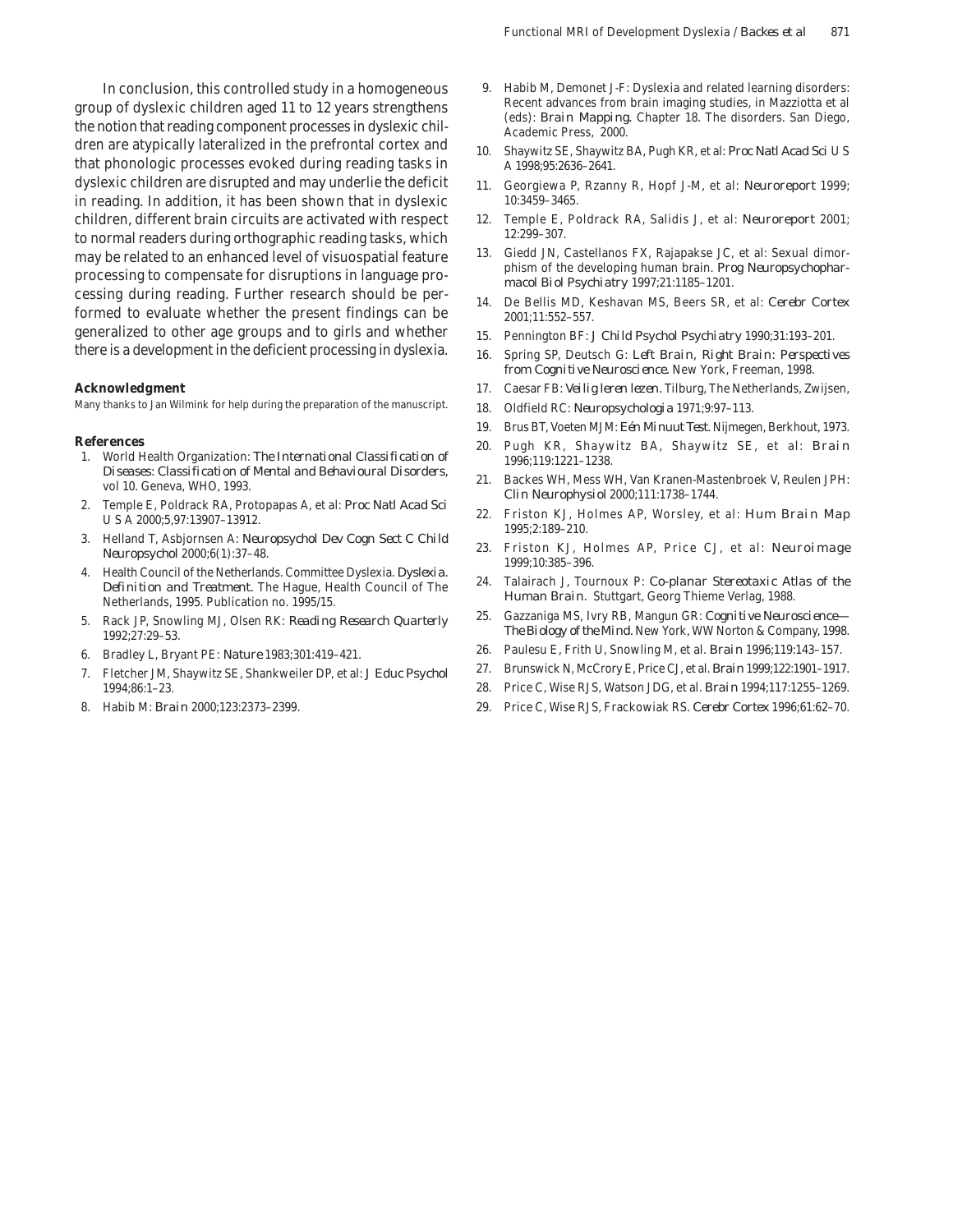In conclusion, this controlled study in a homogeneous group of dyslexic children aged 11 to 12 years strengthens the notion that reading component processes in dyslexic children are atypically lateralized in the prefrontal cortex and that phonologic processes evoked during reading tasks in dyslexic children are disrupted and may underlie the deficit in reading. In addition, it has been shown that in dyslexic children, different brain circuits are activated with respect to normal readers during orthographic reading tasks, which may be related to an enhanced level of visuospatial feature processing to compensate for disruptions in language processing during reading. Further research should be performed to evaluate whether the present findings can be generalized to other age groups and to girls and whether there is a development in the deficient processing in dyslexia.

#### *Acknowledgment*

Many thanks to Jan Wilmink for help during the preparation of the manuscript.

#### *References*

- 1. World Health Organization: *The International Classification of Diseases: Classification of Mental and Behavioural Disorders,* vol 10. Geneva, WHO, 1993.
- 2. Temple E, Poldrack RA, Protopapas A, et al: *Proc Natl Acad Sci* U S A 2000;5,97:13907–13912.
- 3. Helland T, Asbjornsen A: *Neuropsychol Dev Cogn Sect C Child Neuropsychol* 2000;6(1):37–48.
- 4. Health Council of the Netherlands. Committee Dyslexia. *Dyslexia. Definition and Treatment.* The Hague, Health Council of The Netherlands, 1995. Publication no. 1995/15.
- 5. Rack JP, Snowling MJ, Olsen RK: *Reading Research Quarterly* 1992;27:29–53.
- 6. Bradley L, Bryant PE: *Nature* 1983;301:419–421.
- 7. Fletcher JM, Shaywitz SE, Shankweiler DP, et al: *J Educ Psychol* 1994;86:1–23.
- 8. Habib M: *Brain* 2000;123:2373–2399.
- 9. Habib M, Demonet J-F: Dyslexia and related learning disorders: Recent advances from brain imaging studies, in Mazziotta et al (eds): *Brain Mapping.* Chapter 18. The disorders. San Diego, Academic Press, 2000.
- 10. Shaywitz SE, Shaywitz BA, Pugh KR, et al: *Proc Natl Acad Sci* U S A 1998;95:2636–2641.
- 11. Georgiewa P, Rzanny R, Hopf J-M, et al: *Neuroreport* 1999; 10:3459–3465.
- 12. Temple E, Poldrack RA, Salidis J, et al: *Neuroreport* 2001; 12:299–307.
- 13. Giedd JN, Castellanos FX, Rajapakse JC, et al: Sexual dimorphism of the developing human brain. *Prog Neuropsychopharmacol Biol Psychiatry* 1997;21:1185–1201.
- 14. De Bellis MD, Keshavan MS, Beers SR, et al: *Cerebr Cortex* 2001;11:552–557.
- 15. Pennington BF: *J Child Psychol Psychiatry* 1990;31:193–201.
- 16. Spring SP, Deutsch G: *Left Brain, Right Brain: Perspectives from Cognitive Neuroscience.* New York, Freeman, 1998.
- 17. Caesar FB: *Veilig leren lezen.* Tilburg, The Netherlands, Zwijsen,
- 18. Oldfield RC: *Neuropsychologia* 1971;9:97–113.
- 19. Brus BT, Voeten MJM: *Eén Minuut Test.* Nijmegen, Berkhout, 1973.
- 20. Pugh KR, Shaywitz BA, Shaywitz SE, et al: *Brain* 1996;119:1221–1238.
- 21. Backes WH, Mess WH, Van Kranen-Mastenbroek V, Reulen JPH: *Clin Neurophysiol* 2000;111:1738–1744.
- 22. Friston KJ, Holmes AP, Worsley, et al: *Hum Brain Map* 1995;2:189–210.
- 23. Friston KJ, Holmes AP, Price CJ, et al: *Neuroimage* 1999;10:385–396.
- 24. Talairach J, Tournoux P: *Co-planar Stereotaxic Atlas of the Human Brain.* Stuttgart, Georg Thieme Verlag, 1988.
- 25. Gazzaniga MS, Ivry RB, Mangun GR: *Cognitive Neuroscience— The Biology of the Mind.* New York, WW Norton & Company, 1998.
- 26. Paulesu E, Frith U, Snowling M, et al. *Brain* 1996;119:143–157.
- 27. Brunswick N, McCrory E, Price CJ, et al. *Brain* 1999;122:1901–1917.
- 28. Price C, Wise RJS, Watson JDG, et al. *Brain* 1994;117:1255–1269.
- 29. Price C, Wise RJS, Frackowiak RS. *Cerebr Cortex* 1996;61:62–70.